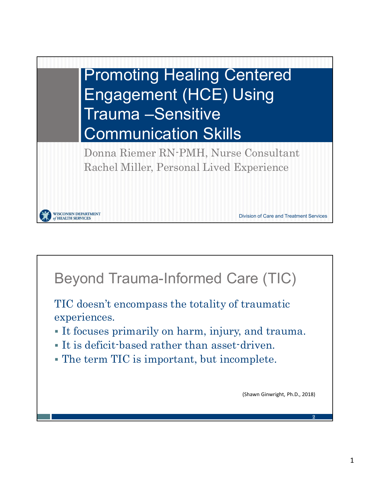

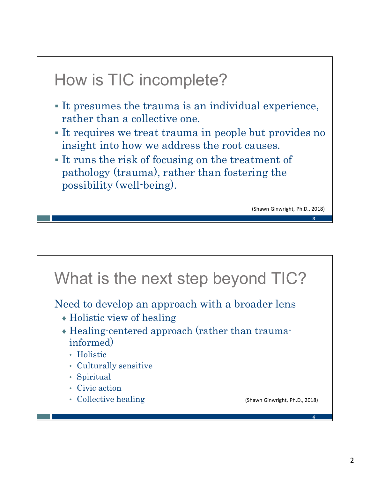# How is TIC incomplete?

- It presumes the trauma is an individual experience, rather than a collective one.
- It requires we treat trauma in people but provides no insight into how we address the root causes.
- It runs the risk of focusing on the treatment of pathology (trauma), rather than fostering the possibility (well-being).

(Shawn Ginwright, Ph.D., 2018)



**3 3 1 1 1 1 1 1 1 1**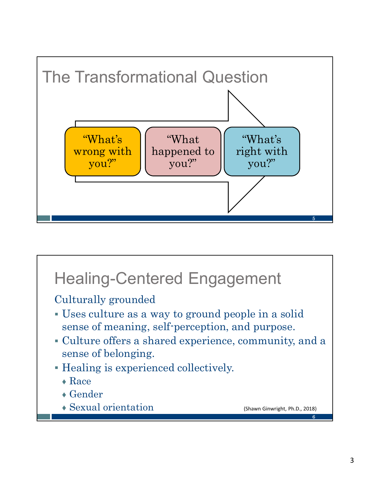

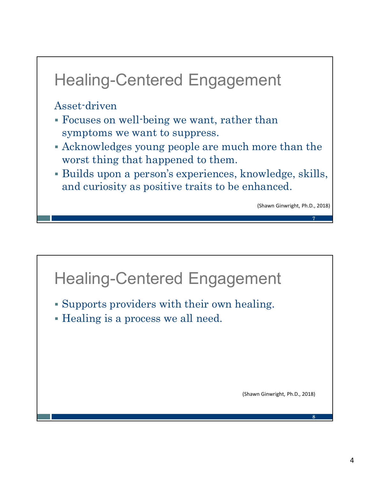# Healing-Centered Engagement

Asset-driven

- Focuses on well-being we want, rather than symptoms we want to suppress.
- Acknowledges young people are much more than the worst thing that happened to them.
- Builds upon a person's experiences, knowledge, skills, and curiosity as positive traits to be enhanced.

(Shawn Ginwright, Ph.D., 2018)



 $7$  and the set of the set of the set of the set of the set of the set of the set of the set of the set of the set of the set of the set of the set of the set of the set of the set of the set of the set of the set of the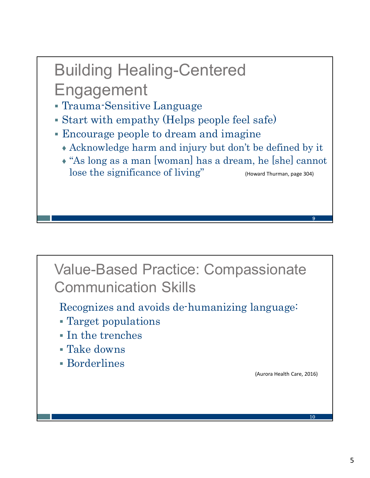# Building Healing-Centered Engagement

- Trauma-Sensitive Language
- Start with empathy (Helps people feel safe)
- Encourage people to dream and imagine
	- ♦ Acknowledge harm and injury but don't be defined by it
	- ♦ "As long as a man [woman] has a dream, he [she] cannot lose the significance of living" (Howard Thurman, page 304)

#### Value-Based Practice: Compassionate Communication Skills

Recognizes and avoids de-humanizing language:

- Target populations
- In the trenches
- Take downs
- Borderlines

(Aurora Health Care, 2016)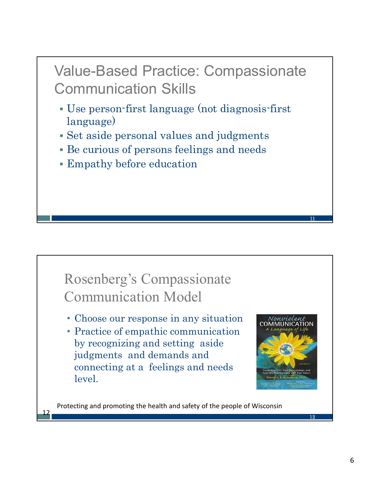Value-Based Practice: Compassionate Communication Skills

- Use person-first language (not diagnosis-first language)
- Set aside personal values and judgments
- Be curious of persons feelings and needs
- Empathy before education

#### Rosenberg's Compassionate Communication Model

- Choose our response in any situation
- Practice of empathic communication by recognizing and setting aside judgments and demands and connecting at a feelings and needs level.

12



Protecting and promoting the health and safety of the people of Wisconsin

12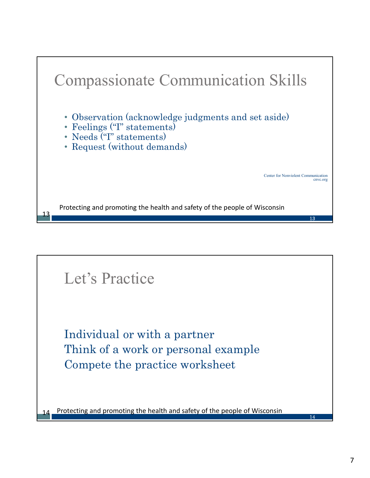

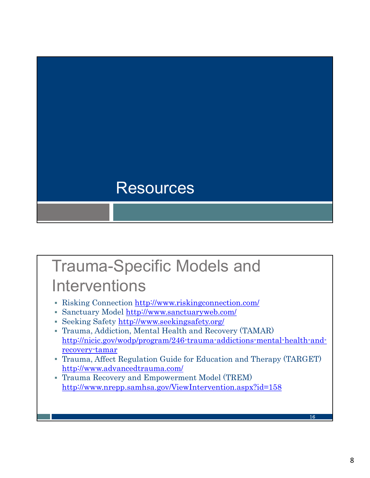

## Trauma-Specific Models and **Interventions**

- Risking Connection http://www.riskingconnection.com/
- Sanctuary Model http://www.sanctuaryweb.com/
- Seeking Safety http://www.seekingsafety.org/
- Trauma, Addiction, Mental Health and Recovery (TAMAR) http://nicic.gov/wodp/program/246-trauma-addictions-mental-health-andrecovery-tamar
- Trauma, Affect Regulation Guide for Education and Therapy (TARGET) http://www.advancedtrauma.com/
- Trauma Recovery and Empowerment Model (TREM) http://www.nrepp.samhsa.gov/ViewIntervention.aspx?id=158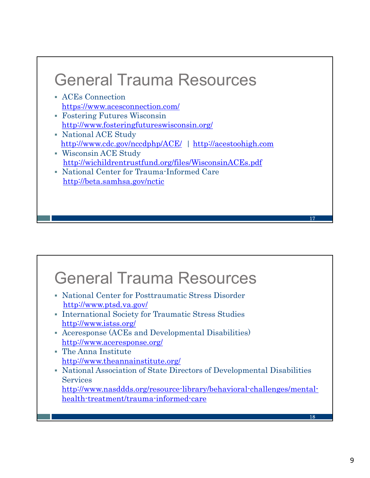# General Trauma Resources

- ACEs Connection https://www.acesconnection.com/
- Fostering Futures Wisconsin http://www.fosteringfutureswisconsin.org/
- National ACE Study http://www.cdc.gov/nccdphp/ACE/ | http://acestoohigh.com
- Wisconsin ACE Study http://wichildrentrustfund.org/files/WisconsinACEs.pdf
- National Center for Trauma-Informed Care http://beta.samhsa.gov/nctic

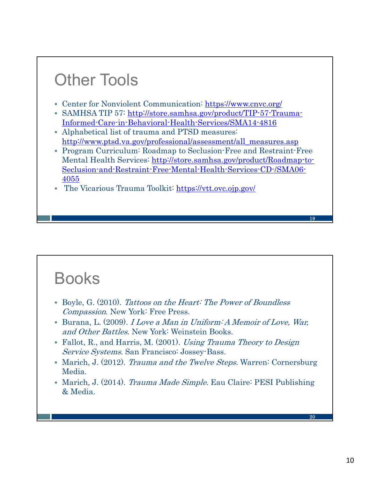## Other Tools

- Center for Nonviolent Communication: https://www.cnvc.org/
- SAMHSA TIP 57: http://store.samhsa.gov/product/TIP-57-Trauma-Informed-Care-in-Behavioral-Health-Services/SMA14-4816
- Alphabetical list of trauma and PTSD measures: http://www.ptsd.va.gov/professional/assessment/all\_measures.asp
- Program Curriculum: Roadmap to Seclusion-Free and Restraint-Free Mental Health Services: http://store.samhsa.gov/product/Roadmap-to-Seclusion-and-Restraint-Free-Mental-Health-Services-CD-/SMA06- 4055
- The Vicarious Trauma Toolkit: https://vtt.ovc.ojp.gov/

## Books

- Boyle, G. (2010). Tattoos on the Heart: The Power of Boundless Compassion. New York: Free Press.
- Burana, L. (2009). I Love a Man in Uniform: A Memoir of Love, War, and Other Battles. New York: Weinstein Books.
- Fallot, R., and Harris, M. (2001). Using Trauma Theory to Design Service Systems. San Francisco: Jossey-Bass.
- Marich, J. (2012). Trauma and the Twelve Steps. Warren: Cornersburg Media.
- Marich, J. (2014). *Trauma Made Simple*. Eau Claire: PESI Publishing & Media.

**20** *Contract Department*